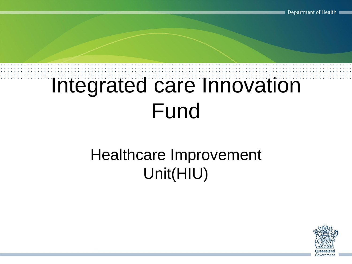## Integrated care Innovation Fund

#### Healthcare Improvement Unit(HIU)

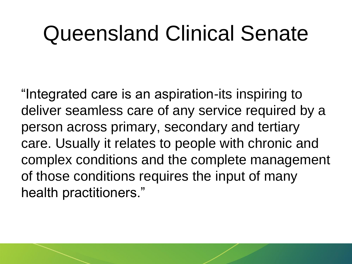#### Queensland Clinical Senate

"Integrated care is an aspiration-its inspiring to deliver seamless care of any service required by a person across primary, secondary and tertiary care. Usually it relates to people with chronic and complex conditions and the complete management of those conditions requires the input of many health practitioners."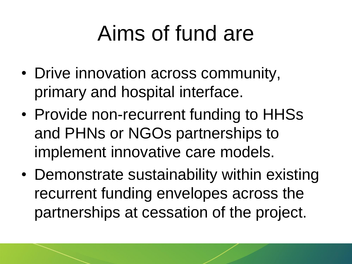# Aims of fund are

- Drive innovation across community, primary and hospital interface.
- Provide non-recurrent funding to HHSs and PHNs or NGOs partnerships to implement innovative care models.
- Demonstrate sustainability within existing recurrent funding envelopes across the partnerships at cessation of the project.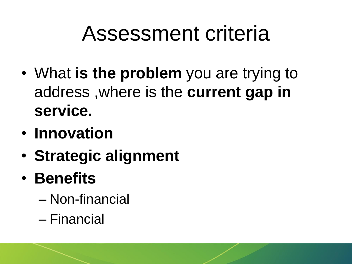# Assessment criteria

- What **is the problem** you are trying to address ,where is the **current gap in service.**
- **Innovation**
- **Strategic alignment**
- **Benefits** 
	- Non-financial
	- Financial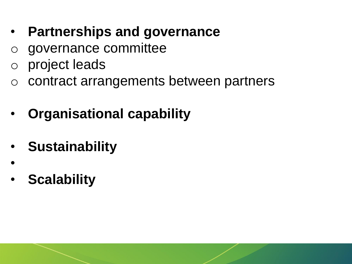- **Partnerships and governance**
- o governance committee
- o project leads
- o contract arrangements between partners
- **Organisational capability**
- **Sustainability**
- **Scalability**

•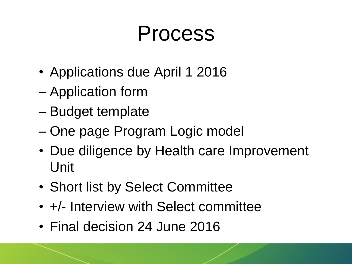## Process

- Applications due April 1 2016
- Application form
- Budget template
- One page Program Logic model
- Due diligence by Health care Improvement Unit
- Short list by Select Committee
- $+/-$  Interview with Select committee
- Final decision 24 June 2016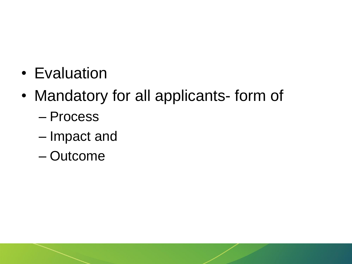- Evaluation
- Mandatory for all applicants- form of
	- Process
	- Impact and
	- Outcome